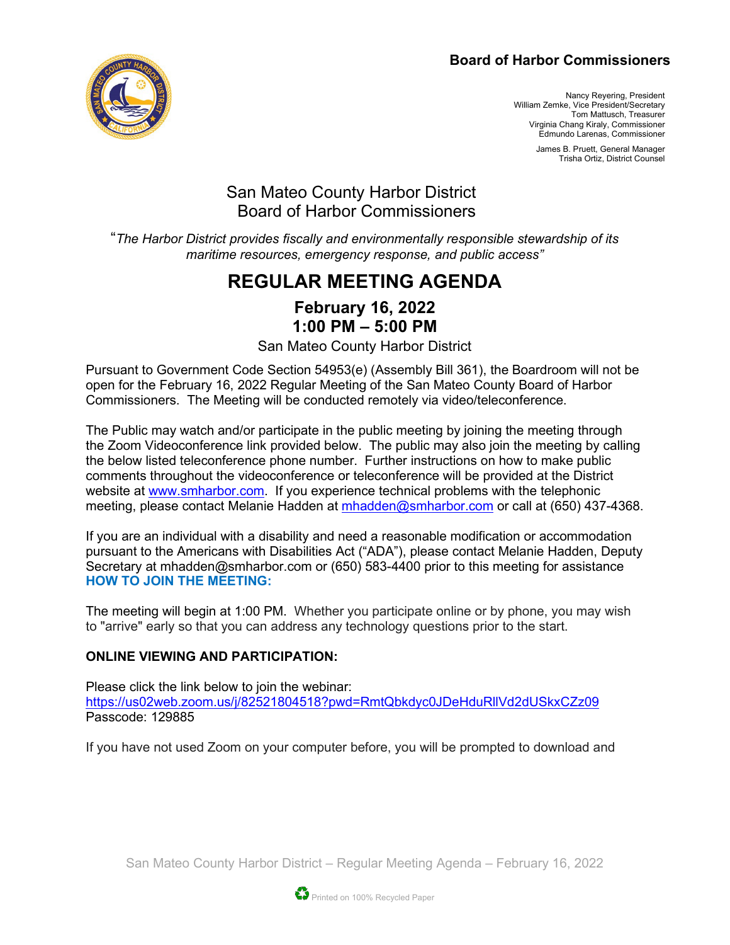#### **Board of Harbor Commissioners**



Nancy Reyering, President William Zemke, Vice President/Secretary Tom Mattusch, Treasurer Virginia Chang Kiraly, Commissioner Edmundo Larenas, Commissioner

> James B. Pruett, General Manager Trisha Ortiz, District Counsel

## San Mateo County Harbor District Board of Harbor Commissioners

"*The Harbor District provides fiscally and environmentally responsible stewardship of its maritime resources, emergency response, and public access"*

# **REGULAR MEETING AGENDA**

### **February 16, 2022 1:00 PM – 5:00 PM**

San Mateo County Harbor District

Pursuant to Government Code Section 54953(e) (Assembly Bill 361), the Boardroom will not be open for the February 16, 2022 Regular Meeting of the San Mateo County Board of Harbor Commissioners. The Meeting will be conducted remotely via video/teleconference.

The Public may watch and/or participate in the public meeting by joining the meeting through the Zoom Videoconference link provided below. The public may also join the meeting by calling the below listed teleconference phone number. Further instructions on how to make public comments throughout the videoconference or teleconference will be provided at the District website at [www.smharbor.com.](http://www.smharbor.com/) If you experience technical problems with the telephonic meeting, please contact Melanie Hadden at [mhadden@smharbor.com](mailto:mhadden@smharbor.com) or call at (650) 437-4368.

If you are an individual with a disability and need a reasonable modification or accommodation pursuant to the Americans with Disabilities Act ("ADA"), please contact Melanie Hadden, Deputy Secretary at mhadden@smharbor.com or (650) 583-4400 prior to this meeting for assistance **HOW TO JOIN THE MEETING:**

The meeting will begin at 1:00 PM. Whether you participate online or by phone, you may wish to "arrive" early so that you can address any technology questions prior to the start.

#### **ONLINE VIEWING AND PARTICIPATION:**

Please click the link below to join the webinar: <https://us02web.zoom.us/j/82521804518?pwd=RmtQbkdyc0JDeHduRllVd2dUSkxCZz09> Passcode: 129885

If you have not used Zoom on your computer before, you will be prompted to download and

San Mateo County Harbor District – Regular Meeting Agenda – February 16, 2022

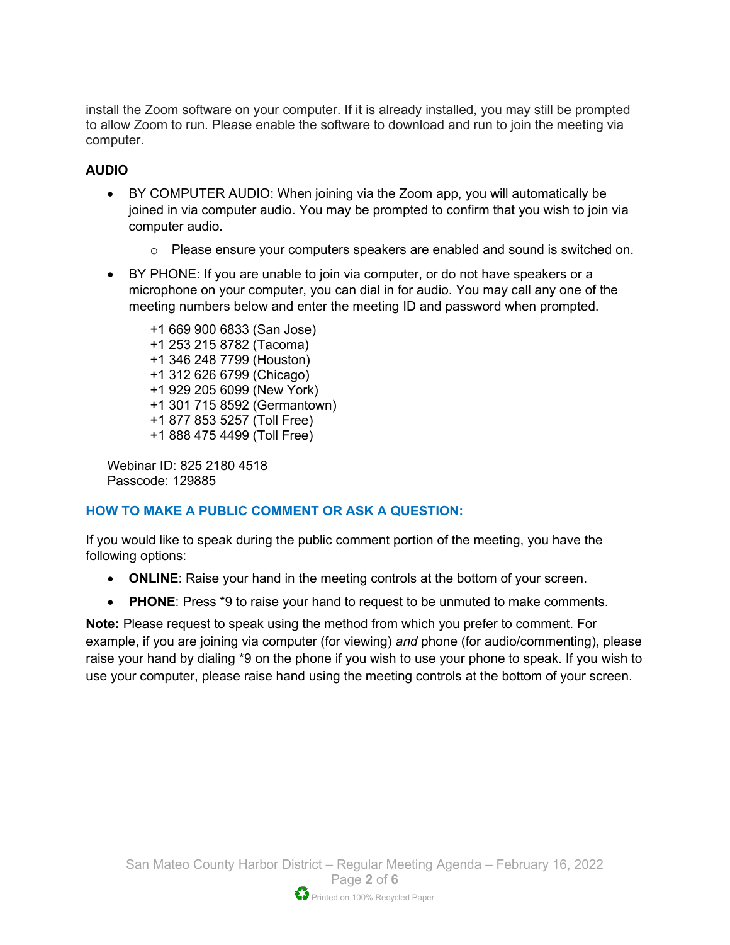install the Zoom software on your computer. If it is already installed, you may still be prompted to allow Zoom to run. Please enable the software to download and run to join the meeting via computer.

#### **AUDIO**

- BY COMPUTER AUDIO: When joining via the Zoom app, you will automatically be joined in via computer audio. You may be prompted to confirm that you wish to join via computer audio.
	- o Please ensure your computers speakers are enabled and sound is switched on.
- BY PHONE: If you are unable to join via computer, or do not have speakers or a microphone on your computer, you can dial in for audio. You may call any one of the meeting numbers below and enter the meeting ID and password when prompted.

+1 669 900 6833 (San Jose) +1 253 215 8782 (Tacoma) +1 346 248 7799 (Houston) +1 312 626 6799 (Chicago) +1 929 205 6099 (New York) +1 301 715 8592 (Germantown) +1 877 853 5257 (Toll Free) +1 888 475 4499 (Toll Free)

Webinar ID: 825 2180 4518 Passcode: 129885

#### **HOW TO MAKE A PUBLIC COMMENT OR ASK A QUESTION:**

If you would like to speak during the public comment portion of the meeting, you have the following options:

- **ONLINE**: Raise your hand in the meeting controls at the bottom of your screen.
- **PHONE**: Press \*9 to raise your hand to request to be unmuted to make comments.

**Note:** Please request to speak using the method from which you prefer to comment. For example, if you are joining via computer (for viewing) *and* phone (for audio/commenting), please raise your hand by dialing \*9 on the phone if you wish to use your phone to speak. If you wish to use your computer, please raise hand using the meeting controls at the bottom of your screen.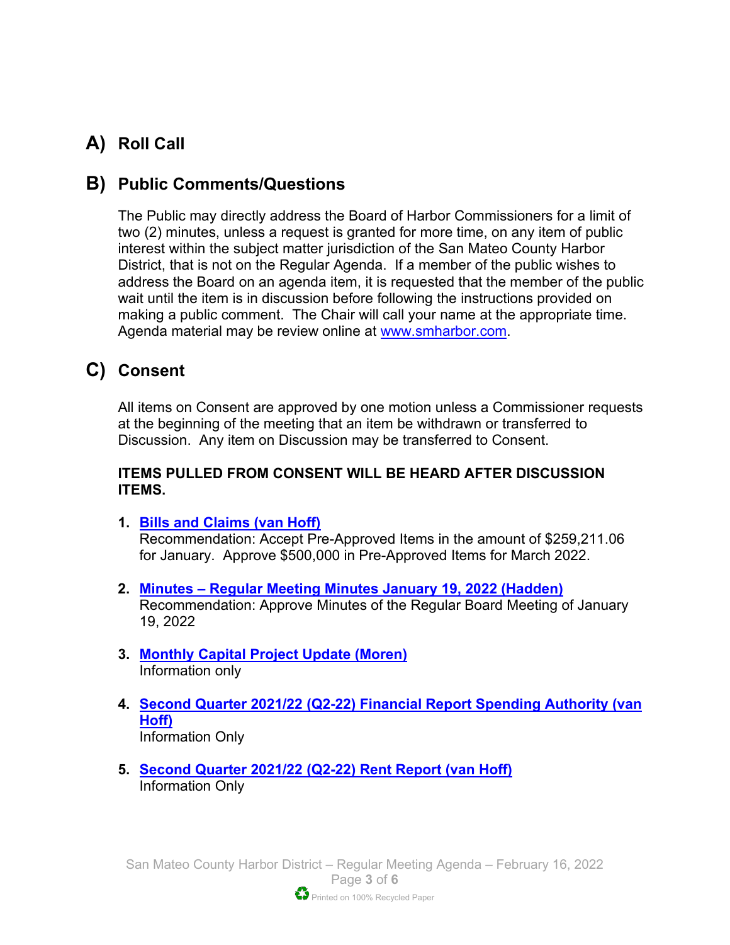# **A) Roll Call**

## **B) Public Comments/Questions**

The Public may directly address the Board of Harbor Commissioners for a limit of two (2) minutes, unless a request is granted for more time, on any item of public interest within the subject matter jurisdiction of the San Mateo County Harbor District, that is not on the Regular Agenda. If a member of the public wishes to address the Board on an agenda item, it is requested that the member of the public wait until the item is in discussion before following the instructions provided on making a public comment. The Chair will call your name at the appropriate time. Agenda material may be review online at [www.smharbor.com.](http://www.smharbor.com/)

# **C) Consent**

All items on Consent are approved by one motion unless a Commissioner requests at the beginning of the meeting that an item be withdrawn or transferred to Discussion. Any item on Discussion may be transferred to Consent.

#### **ITEMS PULLED FROM CONSENT WILL BE HEARD AFTER DISCUSSION ITEMS.**

- **1. [Bills and Claims \(van Hoff\)](https://www.smharbor.com/files/f67dfd541/2022_02_16_Item_1_Bills+and+Claims_Staff_Report.pdf)** Recommendation: Accept Pre-Approved Items in the amount of \$259,211.06 for January. Approve \$500,000 in Pre-Approved Items for March 2022.
- **2. Minutes – [Regular Meeting Minutes](https://www.smharbor.com/files/fff2d9b8c/2022_02_16_Item_2_Minutes_Regular_Meeting_01_19_+2022.pdf) January 19, 2022 (Hadden)** Recommendation: Approve Minutes of the Regular Board Meeting of January 19, 2022
- **3. [Monthly Capital Project Update \(Moren\)](https://www.smharbor.com/files/0c4e04a54/2022_02_16_Item_3_Monthly_Capital_Project_Update_Staff+Report.pdf)** Information only
- **4. [Second Quarter 2021/22 \(Q2-22\) Financial Report Spending Authority \(van](https://www.smharbor.com/files/de660a5b9/2022_02_16_Item_4_Second_Quarter_Financial_Report_Spending_Authority_Staff_Report.pdf)  [Hoff\)](https://www.smharbor.com/files/de660a5b9/2022_02_16_Item_4_Second_Quarter_Financial_Report_Spending_Authority_Staff_Report.pdf)**  Information Only
- **5. [Second Quarter 2021/22 \(Q2-22\) Rent Report \(van Hoff\)](https://www.smharbor.com/files/f18b3665d/2022_02_16_Item_5_Second_Quarter_Q2-22_Rent+Report_Staff_Report.pdf)** Information Only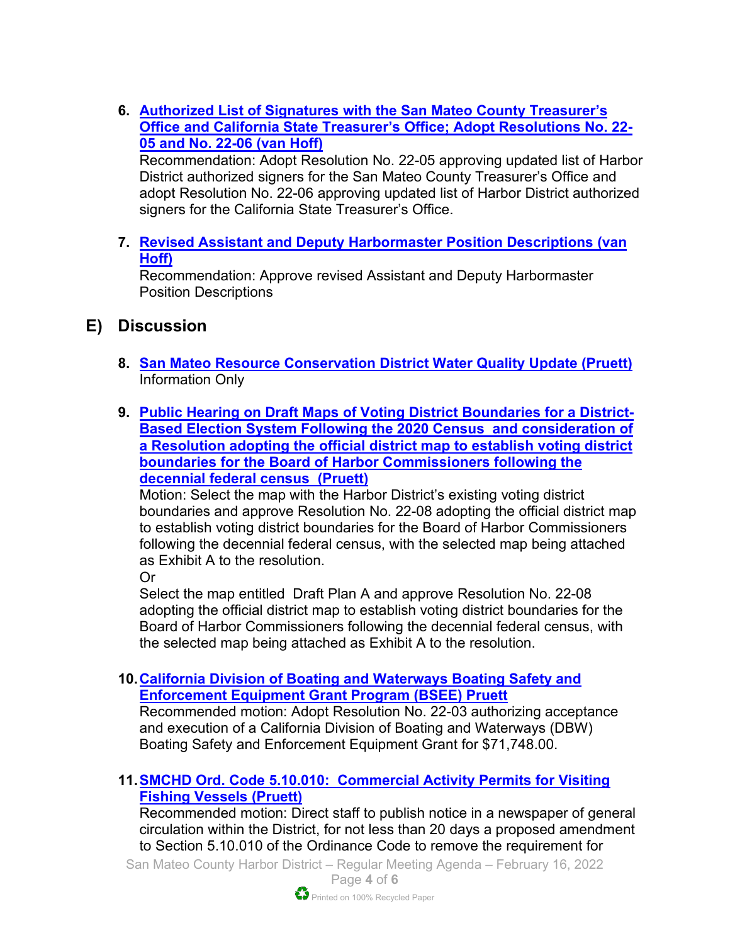**6. [Authorized List of Signatures with the San Mateo County Treasurer's](https://www.smharbor.com/files/a70d2b535/2022_02_16_Item_6_Authorized+List+of+Signatures_Staff_Report.pdf)  [Office and California State Treasurer's Office; Adopt Resolutions No. 22-](https://www.smharbor.com/files/a70d2b535/2022_02_16_Item_6_Authorized+List+of+Signatures_Staff_Report.pdf) 05 [and No. 22-06](https://www.smharbor.com/files/a70d2b535/2022_02_16_Item_6_Authorized+List+of+Signatures_Staff_Report.pdf) (van Hoff)** Recommendation: Adopt Resolution No. 22-05 approving updated list of Harbor District authorized signers for the San Mateo County Treasurer's Office and

adopt Resolution No. 22-06 approving updated list of Harbor District authorized signers for the California State Treasurer's Office.

**7. [Revised Assistant and Deputy Harbormaster Position Descriptions \(van](https://www.smharbor.com/files/ca203c548/2022_02_16_Item_7_Assistant+Harbormaster+Position+Description+Staff+Report.pdf)  [Hoff\)](https://www.smharbor.com/files/ca203c548/2022_02_16_Item_7_Assistant+Harbormaster+Position+Description+Staff+Report.pdf)** 

Recommendation: Approve revised Assistant and Deputy Harbormaster Position Descriptions

### **E) Discussion**

- **8. [San Mateo Resource Conservation District Water Quality Update](https://www.smharbor.com/files/0f3d71f13/2022_02_16_Item_8_PPH+WQ+Update+presentation+2.10.22.pdf) (Pruett)** Information Only
- **9. [Public Hearing on Draft Maps of Voting District Boundaries for a District-](https://www.smharbor.com/files/a30dde436/2022_02_16_Item_9_Redistricting+Staff+Report.pdf)[Based Election System Following the 2020 Census and consideration of](https://www.smharbor.com/files/a30dde436/2022_02_16_Item_9_Redistricting+Staff+Report.pdf)  [a Resolution adopting the official district map to establish voting district](https://www.smharbor.com/files/a30dde436/2022_02_16_Item_9_Redistricting+Staff+Report.pdf)  [boundaries for the Board of Harbor Commissioners following the](https://www.smharbor.com/files/a30dde436/2022_02_16_Item_9_Redistricting+Staff+Report.pdf)  [decennial federal census \(Pruett\)](https://www.smharbor.com/files/a30dde436/2022_02_16_Item_9_Redistricting+Staff+Report.pdf)**

Motion: Select the map with the Harbor District's existing voting district boundaries and approve Resolution No. 22-08 adopting the official district map to establish voting district boundaries for the Board of Harbor Commissioners following the decennial federal census, with the selected map being attached as Exhibit A to the resolution.

Or

Select the map entitled Draft Plan A and approve Resolution No. 22-08 adopting the official district map to establish voting district boundaries for the Board of Harbor Commissioners following the decennial federal census, with the selected map being attached as Exhibit A to the resolution.

**10[.California Division of Boating and Waterways Boating Safety and](https://www.smharbor.com/files/e876d486f/2022_02_16_Item_10_DBW_Grant_Staff_Report.pdf)  Enforcement [Equipment Grant Program \(BSEE\) Pruett](https://www.smharbor.com/files/e876d486f/2022_02_16_Item_10_DBW_Grant_Staff_Report.pdf)** 

Recommended motion: Adopt Resolution No. 22-03 authorizing acceptance and execution of a California Division of Boating and Waterways (DBW) Boating Safety and Enforcement Equipment Grant for \$71,748.00.

#### **11[.SMCHD Ord. Code 5.10.010: Commercial Activity Permits for Visiting](https://www.smharbor.com/files/d0806431f/2022_02_16_Item_11_Ord+Change+Visiting+Fishing+Vessels+Staff+Report.pdf)  [Fishing Vessels](https://www.smharbor.com/files/d0806431f/2022_02_16_Item_11_Ord+Change+Visiting+Fishing+Vessels+Staff+Report.pdf) (Pruett)**

Recommended motion: Direct staff to publish notice in a newspaper of general circulation within the District, for not less than 20 days a proposed amendment to Section 5.10.010 of the Ordinance Code to remove the requirement for

San Mateo County Harbor District – Regular Meeting Agenda – February 16, 2022 Page **4** of **6**

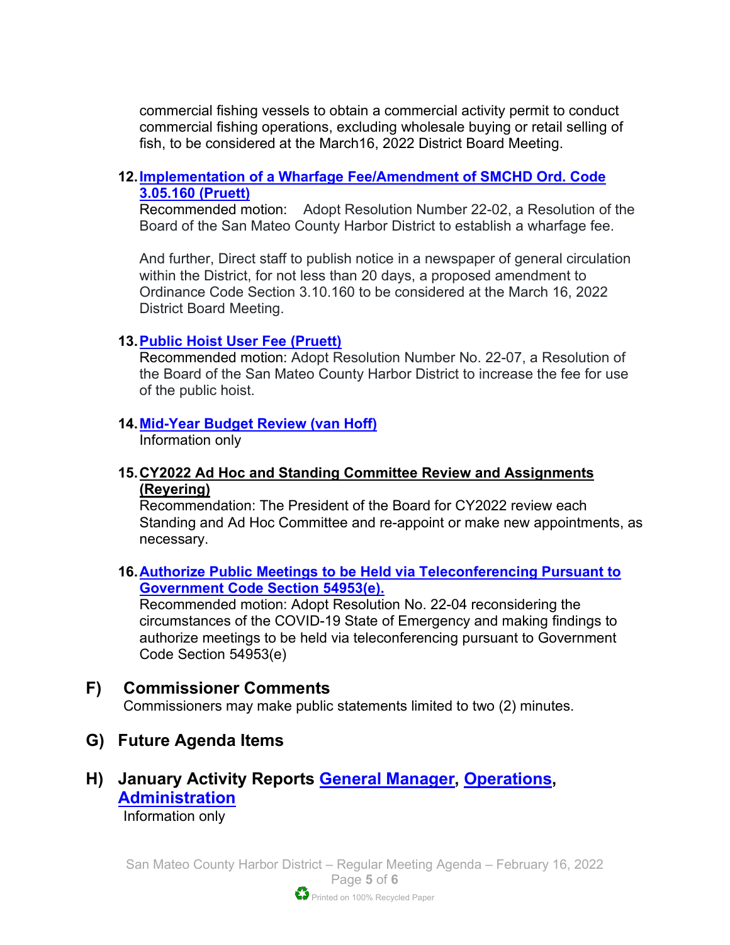commercial fishing vessels to obtain a commercial activity permit to conduct commercial fishing operations, excluding wholesale buying or retail selling of fish, to be considered at the March16, 2022 District Board Meeting.

#### **12[.Implementation of a Wharfage Fee/Amendment of SMCHD Ord. Code](https://www.smharbor.com/files/e148e6e58/2022_02_16_Item_12_Staff+Report+for+Wharfage+Fees+%28RWG+comments%29.pdf)  [3.05.160 \(Pruett\)](https://www.smharbor.com/files/e148e6e58/2022_02_16_Item_12_Staff+Report+for+Wharfage+Fees+%28RWG+comments%29.pdf)**

Recommended motion: Adopt Resolution Number 22-02, a Resolution of the Board of the San Mateo County Harbor District to establish a wharfage fee.

And further, Direct staff to publish notice in a newspaper of general circulation within the District, for not less than 20 days, a proposed amendment to Ordinance Code Section 3.10.160 to be considered at the March 16, 2022 District Board Meeting.

#### **13[.Public Hoist User Fee](https://www.smharbor.com/files/d043e947e/2022_02_16_Item_13_Public_Hoist_User_Fee_Staff+Report.pdf) (Pruett)**

Recommended motion: Adopt Resolution Number No. 22-07, a Resolution of the Board of the San Mateo County Harbor District to increase the fee for use of the public hoist.

#### **14[.Mid-Year Budget Review \(van Hoff\)](https://www.smharbor.com/files/9c4275e69/2022_02_16_Item_14_Mid-Year_Budget_Review_Staff_Report.pdf)**

Information only

**15.CY2022 Ad Hoc and Standing Committee Review and Assignments (Reyering)**

Recommendation: The President of the Board for CY2022 review each Standing and Ad Hoc Committee and re-appoint or make new appointments, as necessary.

**16[.Authorize Public Meetings to be Held via Teleconferencing Pursuant to](https://www.smharbor.com/files/e8e973ea1/2022_02_16_Item_16_Resolution+22-04+Covid+-+19+State+of+Emergency+Findings.pdf)  [Government Code Section 54953\(e\).](https://www.smharbor.com/files/e8e973ea1/2022_02_16_Item_16_Resolution+22-04+Covid+-+19+State+of+Emergency+Findings.pdf)** 

Recommended motion: Adopt Resolution No. 22-04 reconsidering the circumstances of the COVID-19 State of Emergency and making findings to authorize meetings to be held via teleconferencing pursuant to Government Code Section 54953(e)

#### **F) Commissioner Comments**

Commissioners may make public statements limited to two (2) minutes.

**G) Future Agenda Items**

## **H) January Activity Reports [General Manager,](https://www.smharbor.com/files/f4af2d0c9/2022_02_16_Activity_Report_General_Manager.pdf) [Operations,](https://www.smharbor.com/files/8fc4fd2d8/2022_02_16_Activity+Report+Operations.pdf) [Administration](https://www.smharbor.com/files/1262195fe/2022_02_16_Activity_Report_Administration.pdf)**

Information only